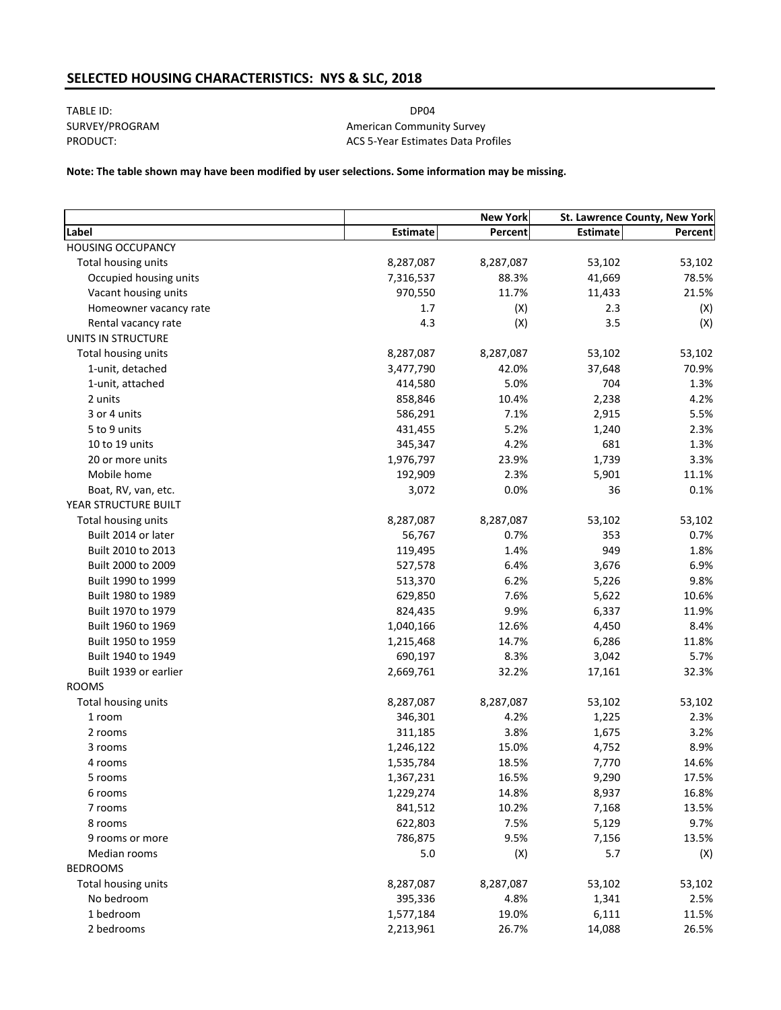# **SELECTED HOUSING CHARACTERISTICS: NYS & SLC, 2018**

TABLE ID: DP04 SURVEY/PROGRAM PRODUCT:

American Community Survey ACS 5‐Year Estimates Data Profiles

**Note: The table shown may have been modified by user selections. Some information may be missing.**

|                          |           | <b>New York</b> | St. Lawrence County, New York |         |
|--------------------------|-----------|-----------------|-------------------------------|---------|
| Label                    | Estimate  | Percent         | Estimate                      | Percent |
| <b>HOUSING OCCUPANCY</b> |           |                 |                               |         |
| Total housing units      | 8,287,087 | 8,287,087       | 53,102                        | 53,102  |
| Occupied housing units   | 7,316,537 | 88.3%           | 41,669                        | 78.5%   |
| Vacant housing units     | 970,550   | 11.7%           | 11,433                        | 21.5%   |
| Homeowner vacancy rate   | 1.7       | (X)             | 2.3                           | (X)     |
| Rental vacancy rate      | 4.3       | (X)             | 3.5                           | (X)     |
| UNITS IN STRUCTURE       |           |                 |                               |         |
| Total housing units      | 8,287,087 | 8,287,087       | 53,102                        | 53,102  |
| 1-unit, detached         | 3,477,790 | 42.0%           | 37,648                        | 70.9%   |
| 1-unit, attached         | 414,580   | 5.0%            | 704                           | 1.3%    |
| 2 units                  | 858,846   | 10.4%           | 2,238                         | 4.2%    |
| 3 or 4 units             | 586,291   | 7.1%            | 2,915                         | 5.5%    |
| 5 to 9 units             | 431,455   | 5.2%            | 1,240                         | 2.3%    |
| 10 to 19 units           | 345,347   | 4.2%            | 681                           | 1.3%    |
| 20 or more units         | 1,976,797 | 23.9%           | 1,739                         | 3.3%    |
| Mobile home              | 192,909   | 2.3%            | 5,901                         | 11.1%   |
| Boat, RV, van, etc.      | 3,072     | 0.0%            | 36                            | 0.1%    |
| YEAR STRUCTURE BUILT     |           |                 |                               |         |
| Total housing units      | 8,287,087 | 8,287,087       | 53,102                        | 53,102  |
| Built 2014 or later      | 56,767    | 0.7%            | 353                           | 0.7%    |
| Built 2010 to 2013       | 119,495   | 1.4%            | 949                           | 1.8%    |
| Built 2000 to 2009       | 527,578   | 6.4%            | 3,676                         | 6.9%    |
| Built 1990 to 1999       | 513,370   | 6.2%            | 5,226                         | 9.8%    |
| Built 1980 to 1989       | 629,850   | 7.6%            | 5,622                         | 10.6%   |
| Built 1970 to 1979       | 824,435   | 9.9%            | 6,337                         | 11.9%   |
| Built 1960 to 1969       | 1,040,166 | 12.6%           | 4,450                         | 8.4%    |
| Built 1950 to 1959       | 1,215,468 | 14.7%           | 6,286                         | 11.8%   |
| Built 1940 to 1949       | 690,197   | 8.3%            | 3,042                         | 5.7%    |
| Built 1939 or earlier    | 2,669,761 | 32.2%           | 17,161                        | 32.3%   |
| <b>ROOMS</b>             |           |                 |                               |         |
| Total housing units      | 8,287,087 | 8,287,087       | 53,102                        | 53,102  |
| 1 room                   | 346,301   | 4.2%            | 1,225                         | 2.3%    |
| 2 rooms                  | 311,185   | 3.8%            | 1,675                         | 3.2%    |
| 3 rooms                  | 1,246,122 | 15.0%           | 4,752                         | 8.9%    |
| 4 rooms                  | 1,535,784 | 18.5%           | 7,770                         | 14.6%   |
| 5 rooms                  | 1,367,231 | 16.5%           | 9,290                         | 17.5%   |
| 6 rooms                  | 1,229,274 | 14.8%           | 8,937                         | 16.8%   |
| 7 rooms                  | 841,512   | 10.2%           | 7,168                         | 13.5%   |
| 8 rooms                  | 622,803   | 7.5%            | 5,129                         | 9.7%    |
| 9 rooms or more          | 786,875   | 9.5%            | 7,156                         | 13.5%   |
| Median rooms             | 5.0       | (X)             | 5.7                           | (X)     |
| <b>BEDROOMS</b>          |           |                 |                               |         |
| Total housing units      | 8,287,087 | 8,287,087       | 53,102                        | 53,102  |
| No bedroom               | 395,336   | 4.8%            | 1,341                         | 2.5%    |
| 1 bedroom                | 1,577,184 | 19.0%           | 6,111                         | 11.5%   |
| 2 bedrooms               | 2,213,961 | 26.7%           | 14,088                        | 26.5%   |
|                          |           |                 |                               |         |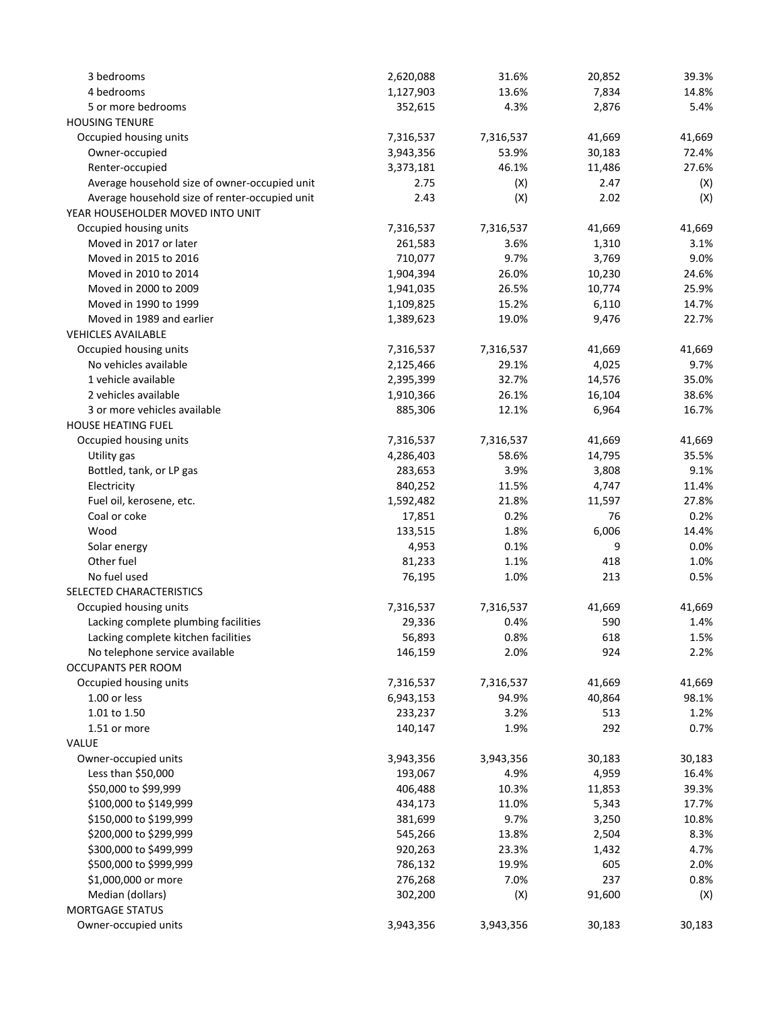| 3 bedrooms                                     | 2,620,088 | 31.6%     | 20,852 | 39.3%  |
|------------------------------------------------|-----------|-----------|--------|--------|
| 4 bedrooms                                     | 1,127,903 | 13.6%     | 7,834  | 14.8%  |
| 5 or more bedrooms                             | 352,615   | 4.3%      | 2,876  | 5.4%   |
| <b>HOUSING TENURE</b>                          |           |           |        |        |
| Occupied housing units                         | 7,316,537 | 7,316,537 | 41,669 | 41,669 |
| Owner-occupied                                 | 3,943,356 | 53.9%     | 30,183 | 72.4%  |
| Renter-occupied                                | 3,373,181 | 46.1%     | 11,486 | 27.6%  |
| Average household size of owner-occupied unit  | 2.75      | (X)       | 2.47   | (X)    |
| Average household size of renter-occupied unit | 2.43      | (X)       | 2.02   | (X)    |
| YEAR HOUSEHOLDER MOVED INTO UNIT               |           |           |        |        |
| Occupied housing units                         | 7,316,537 | 7,316,537 | 41,669 | 41,669 |
| Moved in 2017 or later                         | 261,583   | 3.6%      | 1,310  | 3.1%   |
| Moved in 2015 to 2016                          | 710,077   | 9.7%      | 3,769  | 9.0%   |
| Moved in 2010 to 2014                          | 1,904,394 | 26.0%     | 10,230 | 24.6%  |
| Moved in 2000 to 2009                          | 1,941,035 | 26.5%     | 10,774 | 25.9%  |
| Moved in 1990 to 1999                          | 1,109,825 | 15.2%     | 6,110  | 14.7%  |
| Moved in 1989 and earlier                      | 1,389,623 | 19.0%     | 9,476  | 22.7%  |
| <b>VEHICLES AVAILABLE</b>                      |           |           |        |        |
| Occupied housing units                         | 7,316,537 | 7,316,537 | 41,669 | 41,669 |
| No vehicles available                          | 2,125,466 | 29.1%     | 4,025  | 9.7%   |
| 1 vehicle available                            | 2,395,399 | 32.7%     | 14,576 | 35.0%  |
| 2 vehicles available                           | 1,910,366 | 26.1%     | 16,104 | 38.6%  |
| 3 or more vehicles available                   | 885,306   | 12.1%     | 6,964  | 16.7%  |
| <b>HOUSE HEATING FUEL</b>                      |           |           |        |        |
| Occupied housing units                         | 7,316,537 | 7,316,537 | 41,669 | 41,669 |
| Utility gas                                    | 4,286,403 | 58.6%     | 14,795 | 35.5%  |
| Bottled, tank, or LP gas                       | 283,653   | 3.9%      | 3,808  | 9.1%   |
| Electricity                                    | 840,252   | 11.5%     | 4,747  | 11.4%  |
| Fuel oil, kerosene, etc.                       | 1,592,482 | 21.8%     | 11,597 | 27.8%  |
| Coal or coke                                   | 17,851    | 0.2%      | 76     | 0.2%   |
| Wood                                           | 133,515   | 1.8%      | 6,006  | 14.4%  |
| Solar energy                                   | 4,953     | 0.1%      | 9      | 0.0%   |
| Other fuel                                     | 81,233    | 1.1%      | 418    | 1.0%   |
| No fuel used                                   | 76,195    | 1.0%      | 213    | 0.5%   |
| SELECTED CHARACTERISTICS                       |           |           |        |        |
| Occupied housing units                         | 7,316,537 | 7,316,537 | 41,669 | 41,669 |
| Lacking complete plumbing facilities           | 29,336    | 0.4%      | 590    | 1.4%   |
| Lacking complete kitchen facilities            | 56,893    | 0.8%      | 618    | 1.5%   |
| No telephone service available                 | 146,159   | 2.0%      | 924    | 2.2%   |
| OCCUPANTS PER ROOM                             |           |           |        |        |
| Occupied housing units                         | 7,316,537 | 7,316,537 | 41,669 | 41,669 |
| 1.00 or less                                   | 6,943,153 | 94.9%     | 40,864 | 98.1%  |
| 1.01 to 1.50                                   | 233,237   | 3.2%      | 513    | 1.2%   |
| 1.51 or more                                   | 140,147   | 1.9%      | 292    | 0.7%   |
| VALUE                                          |           |           |        |        |
| Owner-occupied units                           | 3,943,356 | 3,943,356 | 30,183 | 30,183 |
| Less than \$50,000                             | 193,067   | 4.9%      | 4,959  | 16.4%  |
| \$50,000 to \$99,999                           | 406,488   | 10.3%     | 11,853 | 39.3%  |
| \$100,000 to \$149,999                         | 434,173   | 11.0%     | 5,343  | 17.7%  |
| \$150,000 to \$199,999                         | 381,699   | 9.7%      | 3,250  | 10.8%  |
| \$200,000 to \$299,999                         | 545,266   | 13.8%     | 2,504  | 8.3%   |
| \$300,000 to \$499,999                         | 920,263   | 23.3%     | 1,432  | 4.7%   |
| \$500,000 to \$999,999                         | 786,132   | 19.9%     | 605    | 2.0%   |
| \$1,000,000 or more                            | 276,268   | 7.0%      | 237    | 0.8%   |
| Median (dollars)                               | 302,200   | (X)       | 91,600 | (X)    |
| <b>MORTGAGE STATUS</b>                         |           |           |        |        |
| Owner-occupied units                           | 3,943,356 | 3,943,356 | 30,183 | 30,183 |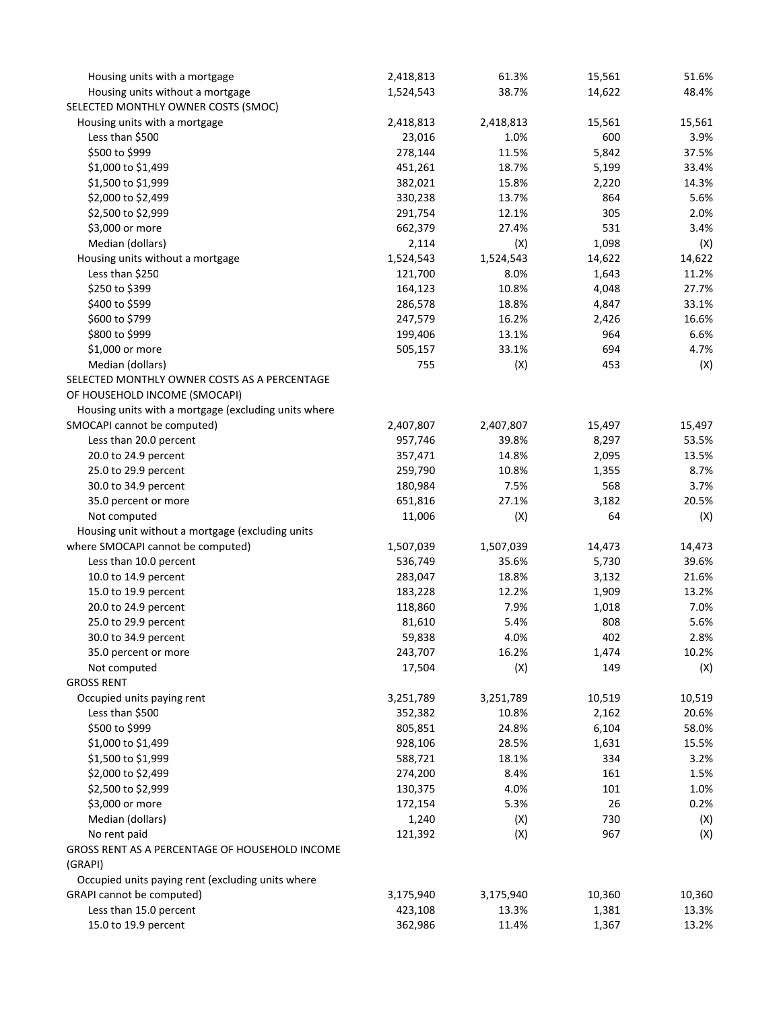| Housing units with a mortgage                        | 2,418,813 | 61.3%     | 15,561 | 51.6%  |
|------------------------------------------------------|-----------|-----------|--------|--------|
| Housing units without a mortgage                     | 1,524,543 | 38.7%     | 14,622 | 48.4%  |
| SELECTED MONTHLY OWNER COSTS (SMOC)                  |           |           |        |        |
| Housing units with a mortgage                        | 2,418,813 | 2,418,813 | 15,561 | 15,561 |
| Less than \$500                                      | 23,016    | 1.0%      | 600    | 3.9%   |
| \$500 to \$999                                       | 278,144   | 11.5%     | 5,842  | 37.5%  |
| \$1,000 to \$1,499                                   | 451,261   | 18.7%     | 5,199  | 33.4%  |
| \$1,500 to \$1,999                                   | 382,021   | 15.8%     | 2,220  | 14.3%  |
| \$2,000 to \$2,499                                   | 330,238   | 13.7%     | 864    | 5.6%   |
| \$2,500 to \$2,999                                   | 291,754   | 12.1%     | 305    | 2.0%   |
| \$3,000 or more                                      | 662,379   | 27.4%     | 531    | 3.4%   |
| Median (dollars)                                     | 2,114     | (X)       | 1,098  | (X)    |
| Housing units without a mortgage                     | 1,524,543 | 1,524,543 | 14,622 | 14,622 |
| Less than \$250                                      | 121,700   | 8.0%      | 1,643  | 11.2%  |
| \$250 to \$399                                       | 164,123   | 10.8%     | 4,048  | 27.7%  |
| \$400 to \$599                                       | 286,578   | 18.8%     | 4,847  | 33.1%  |
| \$600 to \$799                                       | 247,579   | 16.2%     | 2,426  | 16.6%  |
| \$800 to \$999                                       | 199,406   | 13.1%     | 964    | 6.6%   |
| \$1,000 or more                                      | 505,157   | 33.1%     | 694    | 4.7%   |
| Median (dollars)                                     | 755       | (X)       | 453    | (X)    |
| SELECTED MONTHLY OWNER COSTS AS A PERCENTAGE         |           |           |        |        |
| OF HOUSEHOLD INCOME (SMOCAPI)                        |           |           |        |        |
| Housing units with a mortgage (excluding units where |           |           |        |        |
| SMOCAPI cannot be computed)                          | 2,407,807 | 2,407,807 | 15,497 | 15,497 |
| Less than 20.0 percent                               | 957,746   | 39.8%     | 8,297  | 53.5%  |
| 20.0 to 24.9 percent                                 | 357,471   | 14.8%     | 2,095  | 13.5%  |
| 25.0 to 29.9 percent                                 | 259,790   | 10.8%     | 1,355  | 8.7%   |
| 30.0 to 34.9 percent                                 | 180,984   | 7.5%      | 568    | 3.7%   |
| 35.0 percent or more                                 | 651,816   | 27.1%     | 3,182  | 20.5%  |
| Not computed                                         | 11,006    | (X)       | 64     | (X)    |
| Housing unit without a mortgage (excluding units     |           |           |        |        |
| where SMOCAPI cannot be computed)                    | 1,507,039 | 1,507,039 | 14,473 | 14,473 |
| Less than 10.0 percent                               | 536,749   | 35.6%     | 5,730  | 39.6%  |
| 10.0 to 14.9 percent                                 | 283,047   | 18.8%     | 3,132  | 21.6%  |
| 15.0 to 19.9 percent                                 | 183,228   | 12.2%     | 1,909  | 13.2%  |
| 20.0 to 24.9 percent                                 | 118,860   | 7.9%      | 1,018  | 7.0%   |
| 25.0 to 29.9 percent                                 | 81,610    | 5.4%      | 808    | 5.6%   |
| 30.0 to 34.9 percent                                 | 59,838    | 4.0%      | 402    | 2.8%   |
| 35.0 percent or more                                 | 243,707   | 16.2%     | 1,474  | 10.2%  |
| Not computed                                         | 17,504    | (X)       | 149    | (X)    |
| <b>GROSS RENT</b>                                    |           |           |        |        |
| Occupied units paying rent                           | 3,251,789 | 3,251,789 | 10,519 | 10,519 |
| Less than \$500                                      | 352,382   | 10.8%     | 2,162  | 20.6%  |
| \$500 to \$999                                       | 805,851   | 24.8%     | 6,104  | 58.0%  |
| \$1,000 to \$1,499                                   | 928,106   | 28.5%     | 1,631  | 15.5%  |
| \$1,500 to \$1,999                                   | 588,721   | 18.1%     | 334    | 3.2%   |
| \$2,000 to \$2,499                                   | 274,200   | 8.4%      | 161    | 1.5%   |
| \$2,500 to \$2,999                                   | 130,375   | 4.0%      | 101    | 1.0%   |
| \$3,000 or more                                      | 172,154   | 5.3%      | 26     | 0.2%   |
| Median (dollars)                                     | 1,240     | (X)       | 730    | (X)    |
| No rent paid                                         | 121,392   | (X)       | 967    | (X)    |
| GROSS RENT AS A PERCENTAGE OF HOUSEHOLD INCOME       |           |           |        |        |
| (GRAPI)                                              |           |           |        |        |
| Occupied units paying rent (excluding units where    |           |           |        |        |
| GRAPI cannot be computed)                            | 3,175,940 | 3,175,940 | 10,360 | 10,360 |
| Less than 15.0 percent                               | 423,108   | 13.3%     | 1,381  | 13.3%  |
| 15.0 to 19.9 percent                                 | 362,986   | 11.4%     | 1,367  | 13.2%  |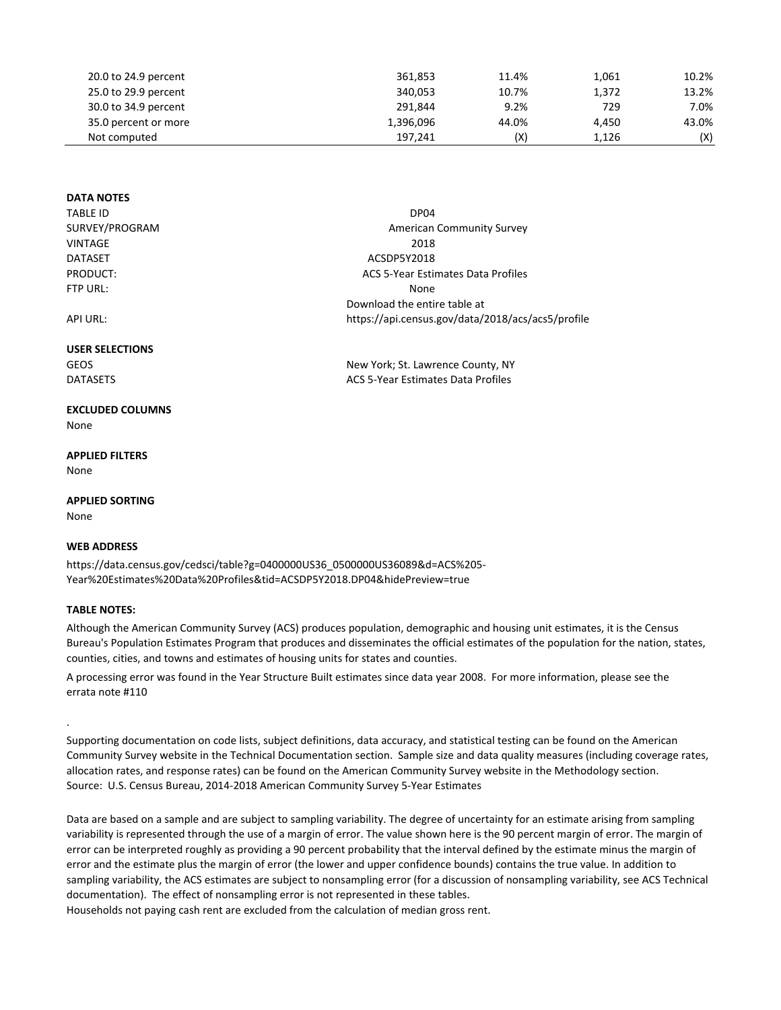| 20.0 to 24.9 percent | 361.853   | 11.4% | 1,061 | 10.2% |
|----------------------|-----------|-------|-------|-------|
| 25.0 to 29.9 percent | 340.053   | 10.7% | 1,372 | 13.2% |
| 30.0 to 34.9 percent | 291.844   | 9.2%  | 729   | 7.0%  |
| 35.0 percent or more | 1,396,096 | 44.0% | 4.450 | 43.0% |
| Not computed         | 197.241   | (X)   | 1.126 | (X)   |

New York; St. Lawrence County, NY ACS 5‐Year Estimates Data Profiles

### **DATA NOTES**

| <b>TABLE ID</b> | DP <sub>04</sub>                                  |
|-----------------|---------------------------------------------------|
| SURVEY/PROGRAM  | <b>American Community Survey</b>                  |
| <b>VINTAGE</b>  | 2018                                              |
| <b>DATASET</b>  | ACSDP5Y2018                                       |
| PRODUCT:        | ACS 5-Year Estimates Data Profiles                |
| FTP URL:        | None                                              |
|                 | Download the entire table at                      |
| API URL:        | https://api.census.gov/data/2018/acs/acs5/profile |
|                 |                                                   |

### **USER SELECTIONS**

GEOS DATASETS

### **EXCLUDED COLUMNS**

None

# **APPLIED FILTERS**

None

### **APPLIED SORTING**

None

.

## **WEB ADDRESS**

https://data.census.gov/cedsci/table?g=0400000US36\_0500000US36089&d=ACS%205‐ Year%20Estimates%20Data%20Profiles&tid=ACSDP5Y2018.DP04&hidePreview=true

## **TABLE NOTES:**

Although the American Community Survey (ACS) produces population, demographic and housing unit estimates, it is the Census Bureau's Population Estimates Program that produces and disseminates the official estimates of the population for the nation, states, counties, cities, and towns and estimates of housing units for states and counties.

A processing error was found in the Year Structure Built estimates since data year 2008. For more information, please see the errata note #110

Supporting documentation on code lists, subject definitions, data accuracy, and statistical testing can be found on the American Community Survey website in the Technical Documentation section. Sample size and data quality measures (including coverage rates, allocation rates, and response rates) can be found on the American Community Survey website in the Methodology section. Source: U.S. Census Bureau, 2014‐2018 American Community Survey 5‐Year Estimates

Data are based on a sample and are subject to sampling variability. The degree of uncertainty for an estimate arising from sampling variability is represented through the use of a margin of error. The value shown here is the 90 percent margin of error. The margin of error can be interpreted roughly as providing a 90 percent probability that the interval defined by the estimate minus the margin of error and the estimate plus the margin of error (the lower and upper confidence bounds) contains the true value. In addition to sampling variability, the ACS estimates are subject to nonsampling error (for a discussion of nonsampling variability, see ACS Technical documentation). The effect of nonsampling error is not represented in these tables.

Households not paying cash rent are excluded from the calculation of median gross rent.